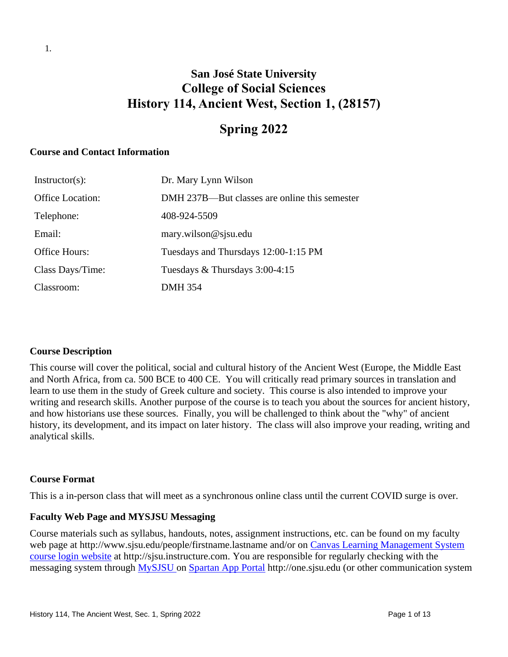# **San José State University College of Social Sciences History 114, Ancient West, Section 1, (28157)**

## **Spring 2022**

#### **Course and Contact Information**

| $Instructor(s)$ :       | Dr. Mary Lynn Wilson                          |
|-------------------------|-----------------------------------------------|
| <b>Office Location:</b> | DMH 237B—But classes are online this semester |
| Telephone:              | 408-924-5509                                  |
| Email:                  | mary.wilson@sjsu.edu                          |
| Office Hours:           | Tuesdays and Thursdays 12:00-1:15 PM          |
| Class Days/Time:        | Tuesdays $&$ Thursdays 3:00-4:15              |
| Classroom:              | DMH 354                                       |

#### **Course Description**

This course will cover the political, social and cultural history of the Ancient West (Europe, the Middle East and North Africa, from ca. 500 BCE to 400 CE. You will critically read primary sources in translation and learn to use them in the study of Greek culture and society. This course is also intended to improve your writing and research skills. Another purpose of the course is to teach you about the sources for ancient history, and how historians use these sources. Finally, you will be challenged to think about the "why" of ancient history, its development, and its impact on later history. The class will also improve your reading, writing and analytical skills.

#### **Course Format**

This is a in-person class that will meet as a synchronous online class until the current COVID surge is over.

#### **Faculty Web Page and MYSJSU Messaging**

Course materials such as syllabus, handouts, notes, assignment instructions, etc. can be found on my faculty web page at http://www.sjsu.edu/people/firstname.lastname and/or on Canvas Learning Management System [course login website](file:///C:/Users/Spain/Desktop/2018/Outreach/Canvas%20Learning%20Management%20System%20course%20login%20website) at http://sjsu.instructure.com. You are responsible for regularly checking with the messaging system through MySJSU on [Spartan App Portal](http://one.sjsu.edu/) http://one.sjsu.edu (or other communication system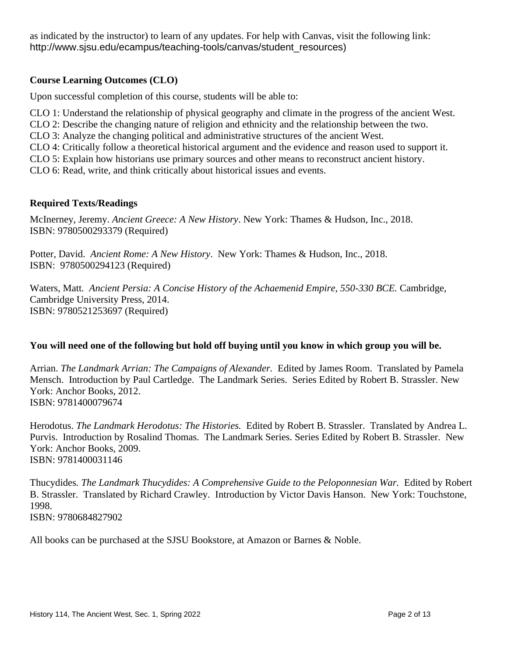as indicated by the instructor) to learn of any updates. For help with Canvas, visit the following link: http://www.sjsu.edu/ecampus/teaching-tools/canvas/student\_resources)

## **Course Learning Outcomes (CLO)**

Upon successful completion of this course, students will be able to:

CLO 1: Understand the relationship of physical geography and climate in the progress of the ancient West.

CLO 2: Describe the changing nature of religion and ethnicity and the relationship between the two.

CLO 3: Analyze the changing political and administrative structures of the ancient West.

CLO 4: Critically follow a theoretical historical argument and the evidence and reason used to support it.

CLO 5: Explain how historians use primary sources and other means to reconstruct ancient history.

CLO 6: Read, write, and think critically about historical issues and events.

#### **Required Texts/Readings**

McInerney, Jeremy. *Ancient Greece: A New History*. New York: Thames & Hudson, Inc., 2018. ISBN: 9780500293379 (Required)

Potter, David. *Ancient Rome: A New History*. New York: Thames & Hudson, Inc., 2018. ISBN: 9780500294123 (Required)

Waters, Matt*. Ancient Persia: A Concise History of the Achaemenid Empire, 550-330 BCE.* Cambridge, Cambridge University Press, 2014. ISBN: 9780521253697 (Required)

## **You will need one of the following but hold off buying until you know in which group you will be.**

Arrian. *The Landmark Arrian: The Campaigns of Alexander.* Edited by James Room. Translated by Pamela Mensch. Introduction by Paul Cartledge. The Landmark Series. Series Edited by Robert B. Strassler. New York: Anchor Books, 2012. ISBN: 9781400079674

Herodotus. *The Landmark Herodotus: The Histories.* Edited by Robert B. Strassler. Translated by Andrea L. Purvis. Introduction by Rosalind Thomas. The Landmark Series. Series Edited by Robert B. Strassler. New York: Anchor Books, 2009. ISBN: 9781400031146

Thucydides*. The Landmark Thucydides: A Comprehensive Guide to the Peloponnesian War.* Edited by Robert B. Strassler. Translated by Richard Crawley. Introduction by Victor Davis Hanson. New York: Touchstone, 1998. ISBN: 9780684827902

All books can be purchased at the SJSU Bookstore, at Amazon or Barnes & Noble.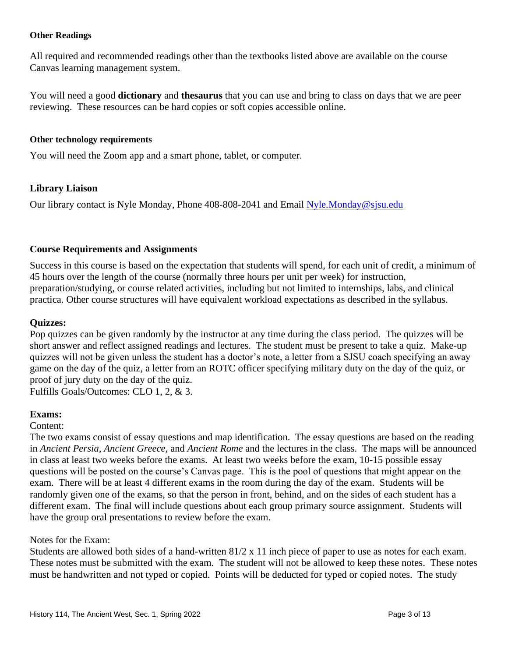#### **Other Readings**

All required and recommended readings other than the textbooks listed above are available on the course Canvas learning management system.

You will need a good **dictionary** and **thesaurus** that you can use and bring to class on days that we are peer reviewing. These resources can be hard copies or soft copies accessible online.

#### **Other technology requirements**

You will need the Zoom app and a smart phone, tablet, or computer.

#### **Library Liaison**

Our library contact is Nyle Monday, Phone 408-808-2041 and Email [Nyle.Monday@sjsu.edu](mailto:Nyle.Monday@sjsu.edu)

#### **Course Requirements and Assignments**

Success in this course is based on the expectation that students will spend, for each unit of credit, a minimum of 45 hours over the length of the course (normally three hours per unit per week) for instruction, preparation/studying, or course related activities, including but not limited to internships, labs, and clinical practica. Other course structures will have equivalent workload expectations as described in the syllabus.

#### **Quizzes:**

Pop quizzes can be given randomly by the instructor at any time during the class period. The quizzes will be short answer and reflect assigned readings and lectures. The student must be present to take a quiz. Make-up quizzes will not be given unless the student has a doctor's note, a letter from a SJSU coach specifying an away game on the day of the quiz, a letter from an ROTC officer specifying military duty on the day of the quiz, or proof of jury duty on the day of the quiz. Fulfills Goals/Outcomes: CLO 1, 2, & 3.

**Exams:**

#### Content:

The two exams consist of essay questions and map identification. The essay questions are based on the reading in *Ancient Persia, Ancient Greece,* and *Ancient Rome* and the lectures in the class. The maps will be announced in class at least two weeks before the exams. At least two weeks before the exam, 10-15 possible essay questions will be posted on the course's Canvas page. This is the pool of questions that might appear on the exam. There will be at least 4 different exams in the room during the day of the exam. Students will be randomly given one of the exams, so that the person in front, behind, and on the sides of each student has a different exam. The final will include questions about each group primary source assignment. Students will have the group oral presentations to review before the exam.

#### Notes for the Exam:

Students are allowed both sides of a hand-written 81/2 x 11 inch piece of paper to use as notes for each exam. These notes must be submitted with the exam. The student will not be allowed to keep these notes. These notes must be handwritten and not typed or copied. Points will be deducted for typed or copied notes. The study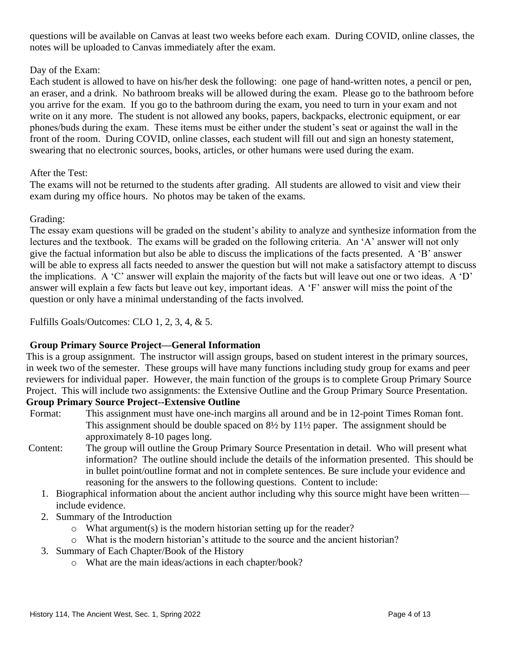questions will be available on Canvas at least two weeks before each exam. During COVID, online classes, the notes will be uploaded to Canvas immediately after the exam.

## Day of the Exam:

Each student is allowed to have on his/her desk the following: one page of hand-written notes, a pencil or pen, an eraser, and a drink. No bathroom breaks will be allowed during the exam. Please go to the bathroom before you arrive for the exam. If you go to the bathroom during the exam, you need to turn in your exam and not write on it any more. The student is not allowed any books, papers, backpacks, electronic equipment, or ear phones/buds during the exam. These items must be either under the student's seat or against the wall in the front of the room. During COVID, online classes, each student will fill out and sign an honesty statement, swearing that no electronic sources, books, articles, or other humans were used during the exam.

## After the Test:

The exams will not be returned to the students after grading. All students are allowed to visit and view their exam during my office hours. No photos may be taken of the exams.

## Grading:

The essay exam questions will be graded on the student's ability to analyze and synthesize information from the lectures and the textbook. The exams will be graded on the following criteria. An 'A' answer will not only give the factual information but also be able to discuss the implications of the facts presented. A 'B' answer will be able to express all facts needed to answer the question but will not make a satisfactory attempt to discuss the implications. A 'C' answer will explain the majority of the facts but will leave out one or two ideas. A 'D' answer will explain a few facts but leave out key, important ideas. A 'F' answer will miss the point of the question or only have a minimal understanding of the facts involved.

Fulfills Goals/Outcomes: CLO 1, 2, 3, 4, & 5.

## **Group Primary Source Project—General Information**

This is a group assignment. The instructor will assign groups, based on student interest in the primary sources, in week two of the semester. These groups will have many functions including study group for exams and peer reviewers for individual paper. However, the main function of the groups is to complete Group Primary Source Project. This will include two assignments: the Extensive Outline and the Group Primary Source Presentation.

## **Group Primary Source Project--Extensive Outline**

- Format: This assignment must have one-inch margins all around and be in 12-point Times Roman font. This assignment should be double spaced on 8½ by 11½ paper. The assignment should be approximately 8-10 pages long.
- Content: The group will outline the Group Primary Source Presentation in detail. Who will present what information? The outline should include the details of the information presented. This should be in bullet point/outline format and not in complete sentences. Be sure include your evidence and reasoning for the answers to the following questions. Content to include:
	- 1. Biographical information about the ancient author including why this source might have been written include evidence.
	- 2. Summary of the Introduction
		- o What argument(s) is the modern historian setting up for the reader?
		- o What is the modern historian's attitude to the source and the ancient historian?
	- 3. Summary of Each Chapter/Book of the History
		- o What are the main ideas/actions in each chapter/book?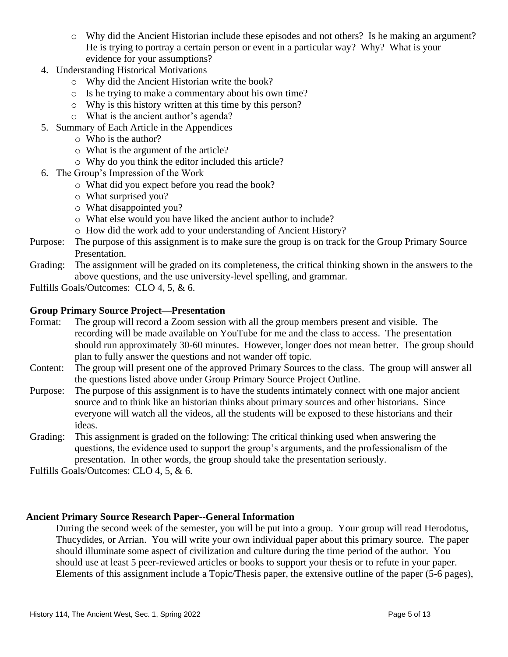- o Why did the Ancient Historian include these episodes and not others? Is he making an argument? He is trying to portray a certain person or event in a particular way? Why? What is your evidence for your assumptions?
- 4. Understanding Historical Motivations
	- o Why did the Ancient Historian write the book?
	- o Is he trying to make a commentary about his own time?
	- o Why is this history written at this time by this person?
	- o What is the ancient author's agenda?
- 5. Summary of Each Article in the Appendices
	- o Who is the author?
	- o What is the argument of the article?
	- o Why do you think the editor included this article?
- 6. The Group's Impression of the Work
	- o What did you expect before you read the book?
	- o What surprised you?
	- o What disappointed you?
	- o What else would you have liked the ancient author to include?
	- o How did the work add to your understanding of Ancient History?
- Purpose: The purpose of this assignment is to make sure the group is on track for the Group Primary Source Presentation.
- Grading: The assignment will be graded on its completeness, the critical thinking shown in the answers to the above questions, and the use university-level spelling, and grammar.

Fulfills Goals/Outcomes: CLO 4, 5, & 6.

#### **Group Primary Source Project—Presentation**

- Format: The group will record a Zoom session with all the group members present and visible. The recording will be made available on YouTube for me and the class to access. The presentation should run approximately 30-60 minutes. However, longer does not mean better. The group should plan to fully answer the questions and not wander off topic.
- Content: The group will present one of the approved Primary Sources to the class. The group will answer all the questions listed above under Group Primary Source Project Outline.
- Purpose: The purpose of this assignment is to have the students intimately connect with one major ancient source and to think like an historian thinks about primary sources and other historians. Since everyone will watch all the videos, all the students will be exposed to these historians and their ideas.
- Grading: This assignment is graded on the following: The critical thinking used when answering the questions, the evidence used to support the group's arguments, and the professionalism of the presentation. In other words, the group should take the presentation seriously.

Fulfills Goals/Outcomes: CLO 4, 5, & 6.

#### **Ancient Primary Source Research Paper--General Information**

During the second week of the semester, you will be put into a group. Your group will read Herodotus, Thucydides, or Arrian. You will write your own individual paper about this primary source. The paper should illuminate some aspect of civilization and culture during the time period of the author. You should use at least 5 peer-reviewed articles or books to support your thesis or to refute in your paper. Elements of this assignment include a Topic/Thesis paper, the extensive outline of the paper (5-6 pages),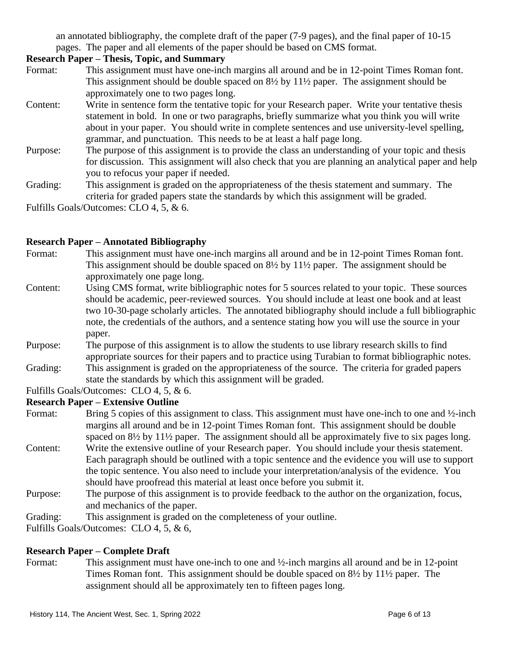an annotated bibliography, the complete draft of the paper (7-9 pages), and the final paper of 10-15 pages. The paper and all elements of the paper should be based on CMS format.

## **Research Paper – Thesis, Topic, and Summary**

- Format: This assignment must have one-inch margins all around and be in 12-point Times Roman font. This assignment should be double spaced on 8½ by 11½ paper. The assignment should be approximately one to two pages long.
- Content: Write in sentence form the tentative topic for your Research paper. Write your tentative thesis statement in bold. In one or two paragraphs, briefly summarize what you think you will write about in your paper. You should write in complete sentences and use university-level spelling, grammar, and punctuation. This needs to be at least a half page long.
- Purpose: The purpose of this assignment is to provide the class an understanding of your topic and thesis for discussion. This assignment will also check that you are planning an analytical paper and help you to refocus your paper if needed.
- Grading: This assignment is graded on the appropriateness of the thesis statement and summary. The criteria for graded papers state the standards by which this assignment will be graded.

Fulfills Goals/Outcomes: CLO 4, 5, & 6.

## **Research Paper – Annotated Bibliography**

- Format: This assignment must have one-inch margins all around and be in 12-point Times Roman font. This assignment should be double spaced on  $8\frac{1}{2}$  by  $11\frac{1}{2}$  paper. The assignment should be approximately one page long.
- Content: Using CMS format, write bibliographic notes for 5 sources related to your topic. These sources should be academic, peer-reviewed sources. You should include at least one book and at least two 10-30-page scholarly articles. The annotated bibliography should include a full bibliographic note, the credentials of the authors, and a sentence stating how you will use the source in your paper.
- Purpose: The purpose of this assignment is to allow the students to use library research skills to find appropriate sources for their papers and to practice using Turabian to format bibliographic notes.
- Grading: This assignment is graded on the appropriateness of the source. The criteria for graded papers state the standards by which this assignment will be graded.

Fulfills Goals/Outcomes: CLO 4, 5, & 6.

#### **Research Paper – Extensive Outline**

- Format: Bring 5 copies of this assignment to class. This assignment must have one-inch to one and ½-inch margins all around and be in 12-point Times Roman font. This assignment should be double spaced on  $8\frac{1}{2}$  by  $11\frac{1}{2}$  paper. The assignment should all be approximately five to six pages long.
- Content: Write the extensive outline of your Research paper. You should include your thesis statement. Each paragraph should be outlined with a topic sentence and the evidence you will use to support the topic sentence. You also need to include your interpretation/analysis of the evidence. You should have proofread this material at least once before you submit it.
- Purpose: The purpose of this assignment is to provide feedback to the author on the organization, focus, and mechanics of the paper.
- Grading: This assignment is graded on the completeness of your outline.

Fulfills Goals/Outcomes: CLO 4, 5, & 6,

#### **Research Paper – Complete Draft**

Format: This assignment must have one-inch to one and ½-inch margins all around and be in 12-point Times Roman font. This assignment should be double spaced on 8½ by 11½ paper. The assignment should all be approximately ten to fifteen pages long.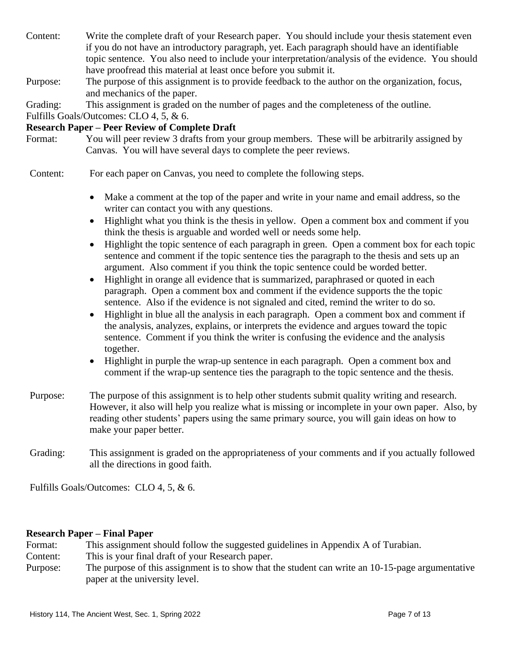- Content: Write the complete draft of your Research paper. You should include your thesis statement even if you do not have an introductory paragraph, yet. Each paragraph should have an identifiable topic sentence. You also need to include your interpretation/analysis of the evidence. You should have proofread this material at least once before you submit it.
- Purpose: The purpose of this assignment is to provide feedback to the author on the organization, focus, and mechanics of the paper.

Grading: This assignment is graded on the number of pages and the completeness of the outline.

Fulfills Goals/Outcomes: CLO 4, 5, & 6.

## **Research Paper – Peer Review of Complete Draft**

Format: You will peer review 3 drafts from your group members. These will be arbitrarily assigned by Canvas. You will have several days to complete the peer reviews.

Content: For each paper on Canvas, you need to complete the following steps.

- Make a comment at the top of the paper and write in your name and email address, so the writer can contact you with any questions.
- Highlight what you think is the thesis in yellow. Open a comment box and comment if you think the thesis is arguable and worded well or needs some help.
- Highlight the topic sentence of each paragraph in green. Open a comment box for each topic sentence and comment if the topic sentence ties the paragraph to the thesis and sets up an argument. Also comment if you think the topic sentence could be worded better.
- Highlight in orange all evidence that is summarized, paraphrased or quoted in each paragraph. Open a comment box and comment if the evidence supports the the topic sentence. Also if the evidence is not signaled and cited, remind the writer to do so.
- Highlight in blue all the analysis in each paragraph. Open a comment box and comment if the analysis, analyzes, explains, or interprets the evidence and argues toward the topic sentence. Comment if you think the writer is confusing the evidence and the analysis together.
- Highlight in purple the wrap-up sentence in each paragraph. Open a comment box and comment if the wrap-up sentence ties the paragraph to the topic sentence and the thesis.
- Purpose: The purpose of this assignment is to help other students submit quality writing and research. However, it also will help you realize what is missing or incomplete in your own paper. Also, by reading other students' papers using the same primary source, you will gain ideas on how to make your paper better.
- Grading: This assignment is graded on the appropriateness of your comments and if you actually followed all the directions in good faith.

Fulfills Goals/Outcomes: CLO 4, 5, & 6.

#### **Research Paper – Final Paper**

- Format: This assignment should follow the suggested guidelines in Appendix A of Turabian.
- Content: This is your final draft of your Research paper.
- Purpose: The purpose of this assignment is to show that the student can write an 10-15-page argumentative paper at the university level.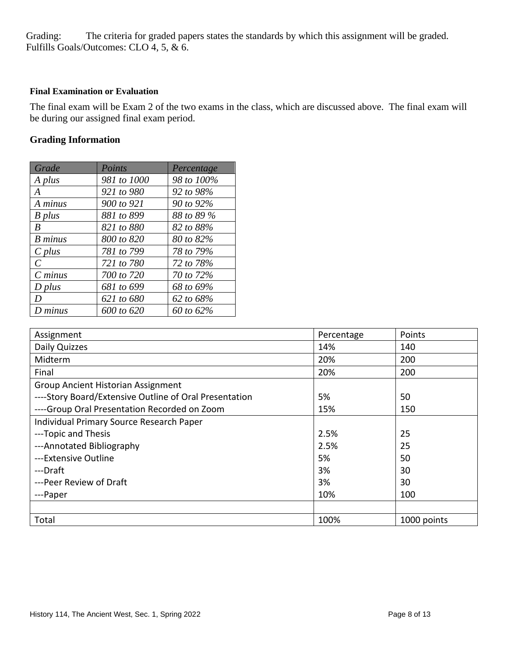Grading: The criteria for graded papers states the standards by which this assignment will be graded. Fulfills Goals/Outcomes: CLO 4, 5, & 6.

#### **Final Examination or Evaluation**

The final exam will be Exam 2 of the two exams in the class, which are discussed above. The final exam will be during our assigned final exam period.

## **Grading Information**

| Grade         | Points      | Percentage |
|---------------|-------------|------------|
| A plus        | 981 to 1000 | 98 to 100% |
| A             | 921 to 980  | 92 to 98%  |
| A minus       | 900 to 921  | 90 to 92%  |
| B plus        | 881 to 899  | 88 to 89 % |
| B             | 821 to 880  | 82 to 88%  |
| B minus       | 800 to 820  | 80 to 82%  |
| $C$ plus      | 781 to 799  | 78 to 79%  |
| $\mathcal{C}$ | 721 to 780  | 72 to 78%  |
| $C$ minus     | 700 to 720  | 70 to 72%  |
| $D$ plus      | 681 to 699  | 68 to 69%  |
| D             | 621 to 680  | 62 to 68%  |
| $D$ minus     | 600 to 620  | 60 to 62%  |

| Assignment                                             | Percentage | Points      |
|--------------------------------------------------------|------------|-------------|
| Daily Quizzes                                          | 14%        | 140         |
| Midterm                                                | 20%        | 200         |
| Final                                                  | 20%        | 200         |
| <b>Group Ancient Historian Assignment</b>              |            |             |
| ----Story Board/Extensive Outline of Oral Presentation | 5%         | 50          |
| ----Group Oral Presentation Recorded on Zoom           | 15%        | 150         |
| Individual Primary Source Research Paper               |            |             |
| ---Topic and Thesis                                    | 2.5%       | 25          |
| ---Annotated Bibliography                              | 2.5%       | 25          |
| ---Extensive Outline                                   | 5%         | 50          |
| ---Draft                                               | 3%         | 30          |
| ---Peer Review of Draft                                | 3%         | 30          |
| ---Paper                                               | 10%        | 100         |
|                                                        |            |             |
| Total                                                  | 100%       | 1000 points |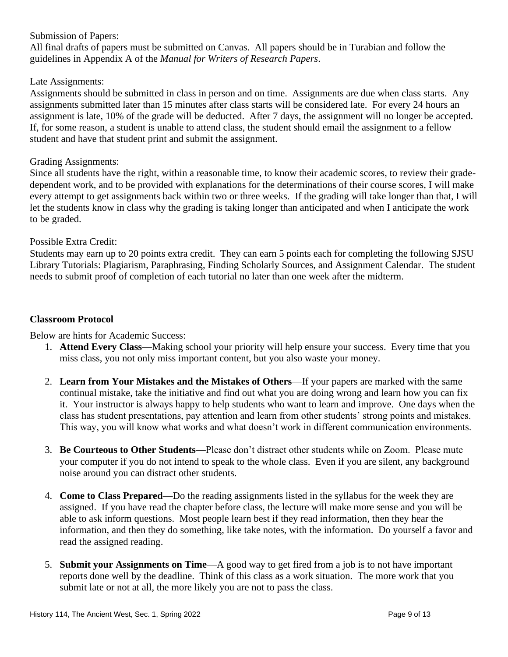Submission of Papers:

All final drafts of papers must be submitted on Canvas. All papers should be in Turabian and follow the guidelines in Appendix A of the *Manual for Writers of Research Papers*.

#### Late Assignments:

Assignments should be submitted in class in person and on time. Assignments are due when class starts. Any assignments submitted later than 15 minutes after class starts will be considered late. For every 24 hours an assignment is late, 10% of the grade will be deducted. After 7 days, the assignment will no longer be accepted. If, for some reason, a student is unable to attend class, the student should email the assignment to a fellow student and have that student print and submit the assignment.

#### Grading Assignments:

Since all students have the right, within a reasonable time, to know their academic scores, to review their gradedependent work, and to be provided with explanations for the determinations of their course scores, I will make every attempt to get assignments back within two or three weeks. If the grading will take longer than that, I will let the students know in class why the grading is taking longer than anticipated and when I anticipate the work to be graded.

#### Possible Extra Credit:

Students may earn up to 20 points extra credit. They can earn 5 points each for completing the following SJSU Library Tutorials: Plagiarism, Paraphrasing, Finding Scholarly Sources, and Assignment Calendar. The student needs to submit proof of completion of each tutorial no later than one week after the midterm.

#### **Classroom Protocol**

Below are hints for Academic Success:

- 1. **Attend Every Class**—Making school your priority will help ensure your success. Every time that you miss class, you not only miss important content, but you also waste your money.
- 2. **Learn from Your Mistakes and the Mistakes of Others**—If your papers are marked with the same continual mistake, take the initiative and find out what you are doing wrong and learn how you can fix it. Your instructor is always happy to help students who want to learn and improve. One days when the class has student presentations, pay attention and learn from other students' strong points and mistakes. This way, you will know what works and what doesn't work in different communication environments.
- 3. **Be Courteous to Other Students**—Please don't distract other students while on Zoom. Please mute your computer if you do not intend to speak to the whole class. Even if you are silent, any background noise around you can distract other students.
- 4. **Come to Class Prepared**—Do the reading assignments listed in the syllabus for the week they are assigned. If you have read the chapter before class, the lecture will make more sense and you will be able to ask inform questions. Most people learn best if they read information, then they hear the information, and then they do something, like take notes, with the information. Do yourself a favor and read the assigned reading.
- 5. **Submit your Assignments on Time**—A good way to get fired from a job is to not have important reports done well by the deadline. Think of this class as a work situation. The more work that you submit late or not at all, the more likely you are not to pass the class.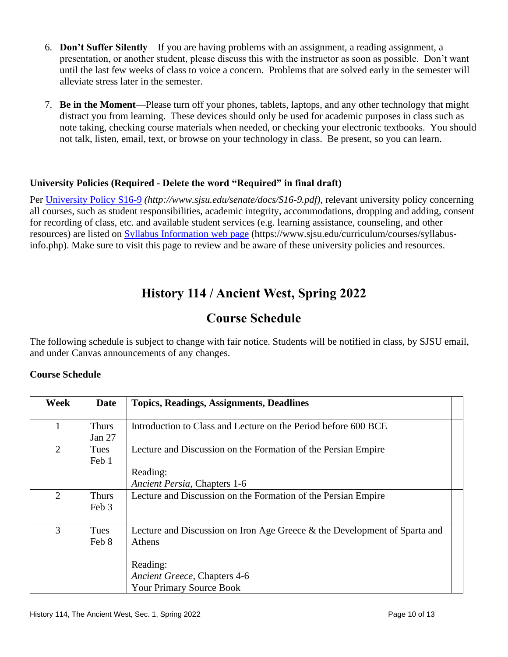- 6. **Don't Suffer Silently**—If you are having problems with an assignment, a reading assignment, a presentation, or another student, please discuss this with the instructor as soon as possible. Don't want until the last few weeks of class to voice a concern. Problems that are solved early in the semester will alleviate stress later in the semester.
- 7. **Be in the Moment**—Please turn off your phones, tablets, laptops, and any other technology that might distract you from learning. These devices should only be used for academic purposes in class such as note taking, checking course materials when needed, or checking your electronic textbooks. You should not talk, listen, email, text, or browse on your technology in class. Be present, so you can learn.

## **University Policies (Required - Delete the word "Required" in final draft)**

Per [University Policy S16-9](http://www.sjsu.edu/senate/docs/S16-9.pdf) *(http://www.sjsu.edu/senate/docs/S16-9.pdf)*, relevant university policy concerning all courses, such as student responsibilities, academic integrity, accommodations, dropping and adding, consent for recording of class, etc. and available student services (e.g. learning assistance, counseling, and other resources) are listed on [Syllabus Information](https://www.sjsu.edu/curriculum/courses/syllabus-info.php) web page (https://www.sjsu.edu/curriculum/courses/syllabusinfo.php). Make sure to visit this page to review and be aware of these university policies and resources.

# **History 114 / Ancient West, Spring 2022**

## **Course Schedule**

The following schedule is subject to change with fair notice. Students will be notified in class, by SJSU email, and under Canvas announcements of any changes.

#### **Course Schedule**

| Week           | <b>Date</b>            | <b>Topics, Readings, Assignments, Deadlines</b>                                                                                                                    |  |
|----------------|------------------------|--------------------------------------------------------------------------------------------------------------------------------------------------------------------|--|
|                | <b>Thurs</b><br>Jan 27 | Introduction to Class and Lecture on the Period before 600 BCE                                                                                                     |  |
| $\overline{2}$ | Tues<br>Feb 1          | Lecture and Discussion on the Formation of the Persian Empire<br>Reading:<br>Ancient Persia, Chapters 1-6                                                          |  |
| $\overline{2}$ | <b>Thurs</b><br>Feb 3  | Lecture and Discussion on the Formation of the Persian Empire                                                                                                      |  |
| 3              | Tues<br>Feb 8          | Lecture and Discussion on Iron Age Greece & the Development of Sparta and<br>Athens<br>Reading:<br>Ancient Greece, Chapters 4-6<br><b>Your Primary Source Book</b> |  |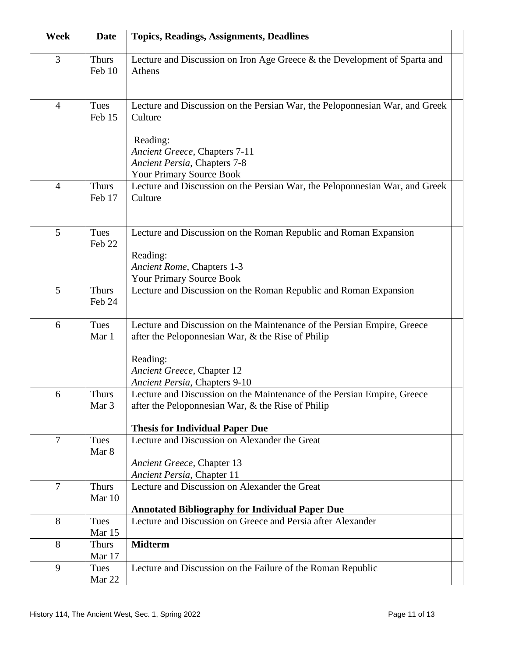| Week           | <b>Date</b>            | <b>Topics, Readings, Assignments, Deadlines</b>                                                                              |  |
|----------------|------------------------|------------------------------------------------------------------------------------------------------------------------------|--|
| 3              | <b>Thurs</b><br>Feb 10 | Lecture and Discussion on Iron Age Greece & the Development of Sparta and<br>Athens                                          |  |
| $\overline{4}$ | Tues<br>Feb 15         | Lecture and Discussion on the Persian War, the Peloponnesian War, and Greek<br>Culture                                       |  |
|                |                        | Reading:<br>Ancient Greece, Chapters 7-11<br>Ancient Persia, Chapters 7-8                                                    |  |
|                |                        | Your Primary Source Book                                                                                                     |  |
| $\overline{4}$ | <b>Thurs</b><br>Feb 17 | Lecture and Discussion on the Persian War, the Peloponnesian War, and Greek<br>Culture                                       |  |
| 5              | Tues<br>Feb 22         | Lecture and Discussion on the Roman Republic and Roman Expansion<br>Reading:                                                 |  |
|                |                        | Ancient Rome, Chapters 1-3                                                                                                   |  |
|                |                        | Your Primary Source Book                                                                                                     |  |
| 5              | <b>Thurs</b><br>Feb 24 | Lecture and Discussion on the Roman Republic and Roman Expansion                                                             |  |
| 6              | Tues<br>Mar 1          | Lecture and Discussion on the Maintenance of the Persian Empire, Greece<br>after the Peloponnesian War, & the Rise of Philip |  |
|                |                        | Reading:                                                                                                                     |  |
|                |                        | Ancient Greece, Chapter 12                                                                                                   |  |
|                |                        | Ancient Persia, Chapters 9-10                                                                                                |  |
| 6              | Thurs<br>Mar 3         | Lecture and Discussion on the Maintenance of the Persian Empire, Greece<br>after the Peloponnesian War, & the Rise of Philip |  |
|                |                        |                                                                                                                              |  |
|                |                        | <b>Thesis for Individual Paper Due</b>                                                                                       |  |
| $\overline{7}$ | Tues<br>Mar 8          | Lecture and Discussion on Alexander the Great                                                                                |  |
|                |                        | Ancient Greece, Chapter 13                                                                                                   |  |
|                |                        | Ancient Persia, Chapter 11                                                                                                   |  |
| $\overline{7}$ | <b>Thurs</b>           | Lecture and Discussion on Alexander the Great                                                                                |  |
|                | Mar 10                 |                                                                                                                              |  |
|                |                        | <b>Annotated Bibliography for Individual Paper Due</b>                                                                       |  |
| 8              | Tues<br>Mar 15         | Lecture and Discussion on Greece and Persia after Alexander                                                                  |  |
| 8              | <b>Thurs</b>           | <b>Midterm</b>                                                                                                               |  |
|                | Mar 17                 |                                                                                                                              |  |
| 9              | Tues                   | Lecture and Discussion on the Failure of the Roman Republic                                                                  |  |
|                | Mar 22                 |                                                                                                                              |  |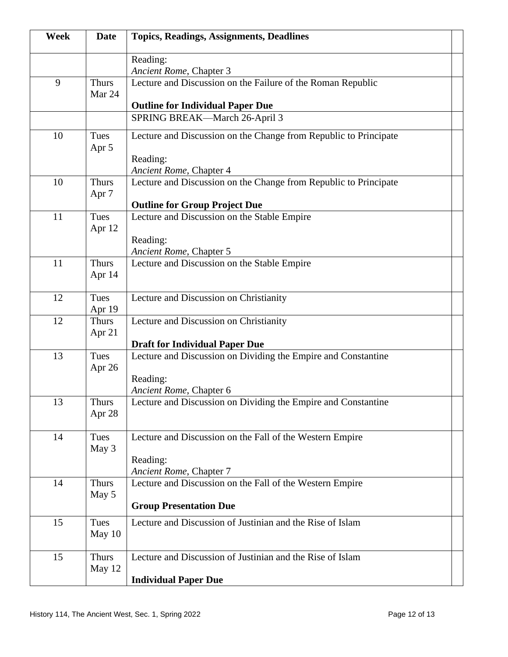| Week | <b>Date</b>                      | <b>Topics, Readings, Assignments, Deadlines</b>                                                        |
|------|----------------------------------|--------------------------------------------------------------------------------------------------------|
|      |                                  | Reading:<br>Ancient Rome, Chapter 3                                                                    |
| 9    | <b>Thurs</b><br>Mar 24           | Lecture and Discussion on the Failure of the Roman Republic<br><b>Outline for Individual Paper Due</b> |
|      |                                  | SPRING BREAK-March 26-April 3                                                                          |
| 10   | Tues<br>Apr 5                    | Lecture and Discussion on the Change from Republic to Principate<br>Reading:                           |
|      |                                  | Ancient Rome, Chapter 4                                                                                |
| 10   | <b>Thurs</b><br>Apr <sub>7</sub> | Lecture and Discussion on the Change from Republic to Principate                                       |
|      |                                  | <b>Outline for Group Project Due</b>                                                                   |
| 11   | Tues<br>Apr 12                   | Lecture and Discussion on the Stable Empire<br>Reading:<br>Ancient Rome, Chapter 5                     |
| 11   | <b>Thurs</b><br>Apr 14           | Lecture and Discussion on the Stable Empire                                                            |
| 12   | Tues<br>Apr 19                   | Lecture and Discussion on Christianity                                                                 |
| 12   | <b>Thurs</b><br>Apr 21           | Lecture and Discussion on Christianity                                                                 |
|      |                                  | <b>Draft for Individual Paper Due</b>                                                                  |
| 13   | Tues<br>Apr $26$                 | Lecture and Discussion on Dividing the Empire and Constantine<br>Reading:<br>Ancient Rome, Chapter 6   |
| 13   | Thurs<br>Apr 28                  | Lecture and Discussion on Dividing the Empire and Constantine                                          |
| 14   | Tues<br>May 3                    | Lecture and Discussion on the Fall of the Western Empire<br>Reading:<br>Ancient Rome, Chapter 7        |
| 14   | <b>Thurs</b><br>May 5            | Lecture and Discussion on the Fall of the Western Empire<br><b>Group Presentation Due</b>              |
| 15   | Tues<br>May 10                   | Lecture and Discussion of Justinian and the Rise of Islam                                              |
| 15   | <b>Thurs</b><br>May 12           | Lecture and Discussion of Justinian and the Rise of Islam<br><b>Individual Paper Due</b>               |